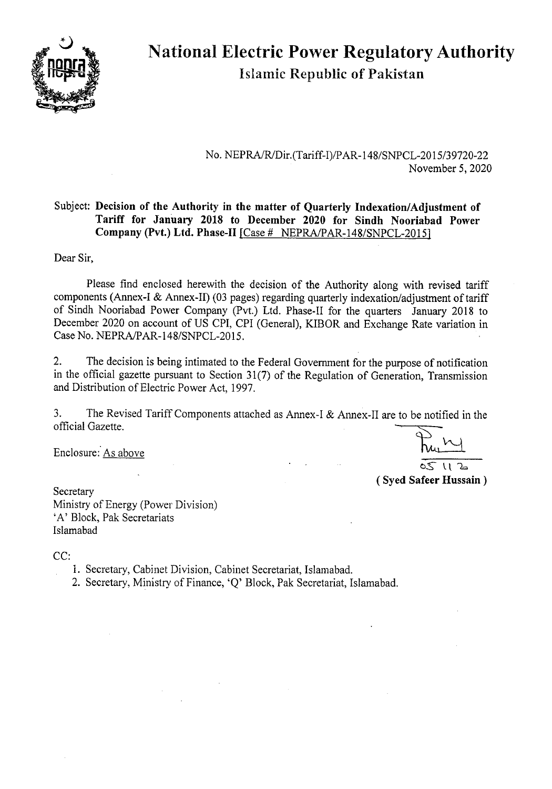

# National Electric Power Regulatory Authority islamic Republic of Pakistan

No. NEPRA/R/Dir.(Tariff-I)/PAR-148/SNPCL-2015/39720-22 November *5,* 2020

#### Subject: **Decision of the Authority in the matter of Quarterly Indexation/Adjustment of Tariff for January 2018 to December 2020 for Sindh Nooriabad Power Company (Pvt.) Ltd. Phase-Il** [Case # NEPRA/PAR-148/SNPCL-20151

Dear Sir,

Please find enclosed herewith the decision of the Authority along with revised tariff components (Annex-I & Annex-lI) (03 pages) regarding quarterly indexation/adjustment of tariff of Sindh Nooriabad Power Company (Pvt.) Ltd. Phase-Il for the quarters January 2018 to December 2020 on account of US CPI, CPI (General), KIBOR and Exchange Rate variation in Case No. NEPRA/PAR-148/SNPCL-2015.

2. The decision is being intimated to the Federal Government for the purpose of notification in the official gazette pursuant to Section 31(7) of the Regulation of Generation, Transmission and Distribution of Electric Power Act, 1997.

3. The Revised Tariff Components attached as Annex-I & Annex-IT are to be notified in the official Gazette.

Enclosure: As above

**Secretary** 

 $(12)$ 

**(Syed Safeer Hussain)** 

Ministry of Energy (Power Division) 'A' Block, Pak Secretariats Islamabad

CC:

1. Secretary, Cabinet Division, Cabinet Secretariat, Islarnabad.

2. Secretary, Ministry of Finance, 'Q' Block, Pak Secretariat, Islamabad.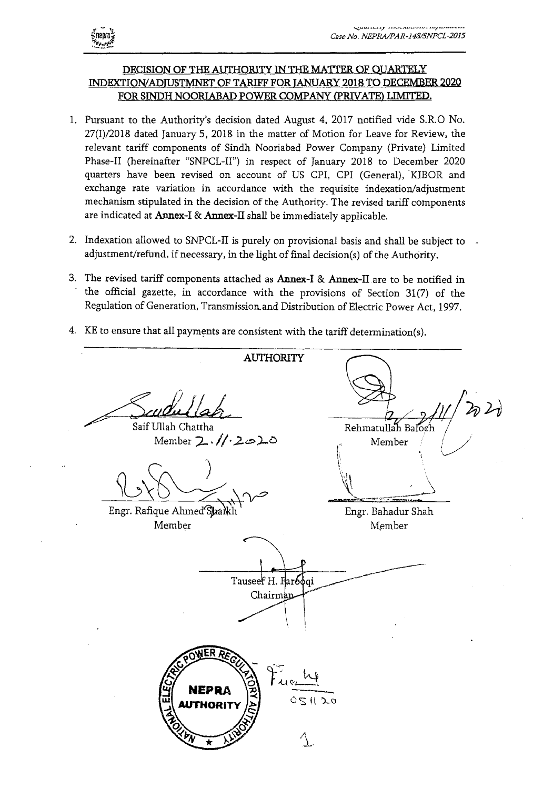

### **DECISION OF THE AUTHORITY IN THE MATTER OF QUARTELY INDEXTION/ADTUSTMNET OF TARIFF FOR JANUARY 2018 TO DECEMBER 2020 FOR SINDH NOORIABAD POWER COMPANY (PRIVATE) LIMITED.**

- 1. Pussuant to the Authority's decision dated August 4, 2017 notified vide S.R.O No. 27(1)/2018 dated January 5, 2018 in the matter of Motion for Leave for Review, the relevant tariff components of Sindh Nooriabad Power Company (Private) Limited Phase-Il (hereinafter "SNPCL-II") in respect of January 2018 to December 2020 quarters have been revised on account of US CPI, CPI (General), KIBOR and exchange rate variation in accordance with the requisite indexation/adjustment mechanism stipulated in the decision of the Authority. The revised tariff components are indicated at **Annex**-I & Annex-il shall be immediately applicable.
- 2. Indexation allowed to SNPCL-II is purely on provisional basis and shall be subject to adjustment/refund, if necessary, in the light of final decision(s) of the Authority.
- 3. The revised tariff components attached as **Annex**-I & **Annex**-il are to be notified in the official gazette, in accordance with the provisions of Section 31(7) of the Regulation of Generation, Transmission, and Distribution of Electric Power Act, 1997.
- 4. KE to ensure that all payments are consistent with the tariff determination(s).

AUTHORITY Saif Ullah Chattha Rehmatullah Baloch  $M$ ember  $2.1/2$ o $2$ Member )  $\geq$ Engr. Rafique Ahmed Shaikh Engr. Bahadur Shah Member Member - ------ Tauseef H. Far6øqi Chairm **EPRA**  $0 < H$   $> 0$ **HORIT**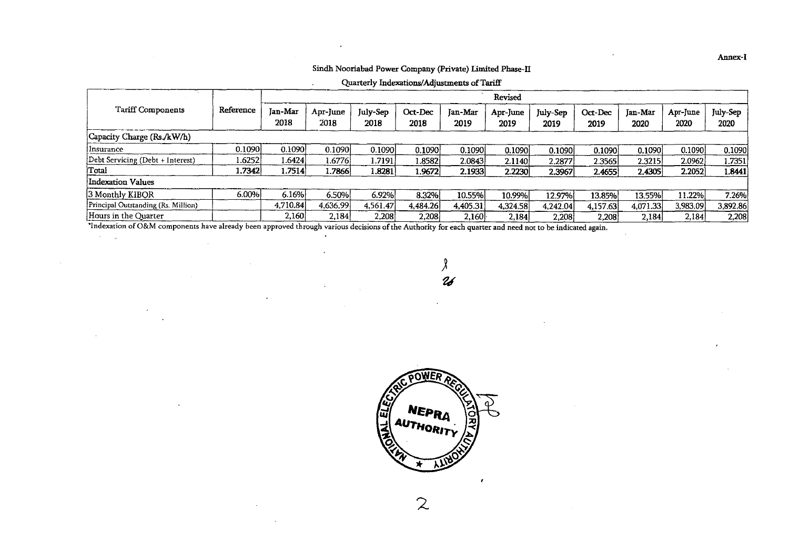#### Sindh Nooriabad Power Company (Private) Limited Phase-IT

Quarterly Indexations/Adjustments of Tariff

|                                     | Reference | Revised                |                  |                  |                 |                 |                         |                  |                 |                 |                  |                  |
|-------------------------------------|-----------|------------------------|------------------|------------------|-----------------|-----------------|-------------------------|------------------|-----------------|-----------------|------------------|------------------|
| Tariff Components                   |           | <b>Jan-Mar</b><br>2018 | Apr-June<br>2018 | July-Sep<br>2018 | Oct-Dec<br>2018 | Jan-Mar<br>2019 | <b>Apr-June</b><br>2019 | July-Sep<br>2019 | Oct-Dec<br>2019 | Jan-Mar<br>2020 | Apr-June<br>2020 | July-Sep<br>2020 |
| Capacity Charge (Rs./kW/h)          |           |                        |                  |                  |                 |                 |                         |                  |                 |                 |                  |                  |
| Insurance                           | 0.1090    | 0.1090                 | 0.1090           | 0.1090           | 0.1090          | 0.1090          | 0.1090                  | 0.1090           | 0.1090          | 0.1090          | 0.1090           | 0.1090           |
| Debt Servicing (Debt + Interest)    | ا3252.ا   | 1.64241                | 1.6776           | .7191            | 1.8582          | 2.0843          | 2.1140                  | 2.2877           | 2.3565          | 2.3215          | 2.0962           | 1.7351'          |
| Total                               | 1.7342)   | 7514. ا                | 1.7866           | 1.8281           | 1.9672          | 2.1933          | 2.2230                  | 2.3967           | 2.4655          | 2.4305          | 2.2052           | 1.8441           |
| Indexation Values                   |           |                        |                  |                  |                 |                 |                         |                  |                 |                 |                  |                  |
| 3 Monthly KIBOR                     | 6.00%     | 6.16%                  | 6.50%            | 6.92%            | 8.32%           | 10.55%          | 10.99%                  | 12.97%           | 13.85%          | 13.55%          | 11.22%           | 7.26%            |
| Principal Outstanding (Rs. Million) |           | 4.710.84               | 4,636.99         | 4.561.47         | 4,484.26        | 4,405.31        | 4,324.58                | 4,242.04         | 4,157.63        | 4,071.33        | 3,983.09         | 3,892.86         |
| Hours in the Quarter                |           | 2,160                  | 2.184            | 2,208            | 2,208           | 2,160           | 2,184                   | 2,208            | 2.208           | 2,184           | 2,184            | 2,208            |

'indexation of O&M components have already been approved through various decisions of the Authority for each quarter and need not to be indicated again.

 $\Delta$ 

 $\cdot$ 

 $\sim$ 

 $\sim$ 

λ  $26$ 



 $\mathcal{Z}$